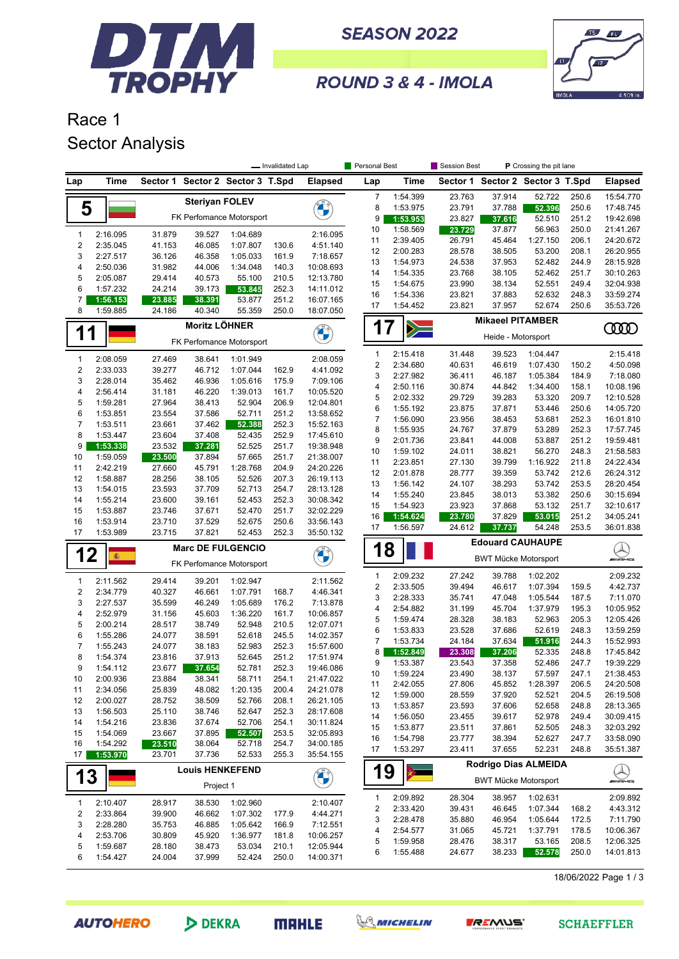

**SEASON 2022** 



ROUND 3 & 4 - IMOLA

## Race 1 Sector Analysis

|                |          |                          |                          |                                  | - Invalidated Lap |                | Personal Best                               |                                             | Session Best         | P Crossing the pit lane          |          |       |                |  |  |
|----------------|----------|--------------------------|--------------------------|----------------------------------|-------------------|----------------|---------------------------------------------|---------------------------------------------|----------------------|----------------------------------|----------|-------|----------------|--|--|
| Lap            | Time     |                          |                          | Sector 1 Sector 2 Sector 3 T.Spd |                   | <b>Elapsed</b> | Lap                                         | Time                                        |                      | Sector 1 Sector 2 Sector 3 T.Spd |          |       | <b>Elapsed</b> |  |  |
|                |          |                          | <b>Steriyan FOLEV</b>    |                                  |                   |                | $\overline{7}$                              | 1:54.399                                    | 23.763               | 37.914                           | 52.722   | 250.6 | 15:54.770      |  |  |
| 5              |          |                          |                          |                                  |                   |                | 8                                           | 1:53.975                                    | 23.791               | 37.788                           | 52.396   | 250.6 | 17:48.745      |  |  |
|                |          |                          |                          | FK Perfomance Motorsport         |                   |                | 9                                           | 1:53.953                                    | 23.827               | 37.616                           | 52.510   | 251.2 | 19:42.698      |  |  |
| $\mathbf{1}$   | 2:16.095 | 31.879                   | 39.527                   | 1:04.689                         |                   | 2:16.095       | 10                                          | 1:58.569                                    | 23.729               | 37.877                           | 56.963   | 250.0 | 21:41.267      |  |  |
| $\sqrt{2}$     | 2:35.045 | 41.153                   | 46.085                   | 1:07.807                         | 130.6             | 4:51.140       | 11                                          | 2:39.405                                    | 26.791               | 45.464                           | 1:27.150 | 206.1 | 24:20.672      |  |  |
| 3              | 2:27.517 | 36.126                   | 46.358                   | 1:05.033                         | 161.9             | 7:18.657       | 12                                          | 2:00.283                                    | 28.578               | 38.505                           | 53.200   | 208.1 | 26:20.955      |  |  |
| 4              | 2:50.036 | 31.982                   | 44.006                   | 1:34.048                         | 140.3             | 10:08.693      | 13                                          | 1:54.973                                    | 24.538               | 37.953                           | 52.482   | 244.9 | 28:15.928      |  |  |
| 5              | 2:05.087 | 29.414                   | 40.573                   | 55.100                           | 210.5             | 12:13.780      | 14                                          | 1:54.335                                    | 23.768               | 38.105                           | 52.462   | 251.7 | 30:10.263      |  |  |
| 6              | 1:57.232 | 24.214                   | 39.173                   | 53.845                           | 252.3             | 14:11.012      | 15                                          | 1:54.675                                    | 23.990               | 38.134                           | 52.551   | 249.4 | 32:04.938      |  |  |
| 7              | 1:56.153 | 23.885                   | 38.391                   | 53.877                           | 251.2             | 16:07.165      | 16                                          | 1:54.336                                    | 23.821               | 37.883                           | 52.632   | 248.3 | 33:59.274      |  |  |
| 8              | 1:59.885 | 24.186                   | 40.340                   | 55.359                           | 250.0             | 18:07.050      | 17                                          | 1:54.452                                    | 23.821               | 37.957                           | 52.674   | 250.6 | 35:53.726      |  |  |
|                |          |                          | <b>Moritz LÖHNER</b>     |                                  |                   |                |                                             | <b>Mikaeel PITAMBER</b><br>$\mathbf 1$<br>7 |                      |                                  |          |       |                |  |  |
| 1              | 1        |                          |                          | FK Perfomance Motorsport         |                   |                | $\blacktriangleright$<br>Heide - Motorsport |                                             |                      |                                  |          |       | 0000           |  |  |
| $\mathbf{1}$   | 2:08.059 | 27.469                   | 38.641                   | 1:01.949                         |                   | 2:08.059       | 1                                           | 2:15.418                                    | 31.448               | 39.523                           | 1:04.447 |       | 2:15.418       |  |  |
| $\sqrt{2}$     | 2:33.033 | 39.277                   | 46.712                   | 1:07.044                         | 162.9             | 4:41.092       | 2                                           | 2:34.680                                    | 40.631               | 46.619                           | 1:07.430 | 150.2 | 4:50.098       |  |  |
| 3              | 2:28.014 | 35.462                   | 46.936                   | 1:05.616                         | 175.9             | 7:09.106       | 3                                           | 2:27.982                                    | 36.411               | 46.187                           | 1:05.384 | 184.9 | 7:18.080       |  |  |
| 4              | 2:56.414 | 31.181                   | 46.220                   | 1:39.013                         | 161.7             | 10:05.520      | 4                                           | 2:50.116                                    | 30.874               | 44.842                           | 1:34.400 | 158.1 | 10:08.196      |  |  |
| 5              | 1:59.281 | 27.964                   | 38.413                   | 52.904                           | 206.9             | 12:04.801      | 5                                           | 2:02.332                                    | 29.729               | 39.283                           | 53.320   | 209.7 | 12:10.528      |  |  |
| 6              | 1:53.851 | 23.554                   | 37.586                   | 52.711                           | 251.2             | 13:58.652      | 6                                           | 1:55.192                                    | 23.875               | 37.871                           | 53.446   | 250.6 | 14:05.720      |  |  |
| $\overline{7}$ | 1:53.511 | 23.661                   | 37.462                   | 52.388                           | 252.3             | 15:52.163      | $\overline{7}$                              | 1:56.090                                    | 23.956               | 38.453                           | 53.681   | 252.3 | 16:01.810      |  |  |
| 8              | 1:53.447 | 23.604                   | 37.408                   | 52.435                           | 252.9             | 17:45.610      | 8                                           | 1:55.935                                    | 24.767               | 37.879                           | 53.289   | 252.3 | 17:57.745      |  |  |
| 9              | 1:53.338 | 23.532                   | 37.281                   | 52.525                           | 251.7             | 19:38.948      | 9                                           | 2:01.736                                    | 23.841               | 44.008                           | 53.887   | 251.2 | 19:59.481      |  |  |
| 10             | 1:59.059 | 23.500                   | 37.894                   | 57.665                           | 251.7             | 21:38.007      | 10                                          | 1:59.102                                    | 24.011               | 38.821                           | 56.270   | 248.3 | 21:58.583      |  |  |
| 11             | 2:42.219 | 27.660                   | 45.791                   | 1:28.768                         | 204.9             | 24:20.226      | 11                                          | 2:23.851                                    | 27.130               | 39.799                           | 1:16.922 | 211.8 | 24:22.434      |  |  |
| 12             | 1:58.887 | 28.256                   | 38.105                   | 52.526                           | 207.3             | 26:19.113      | 12                                          | 2:01.878                                    | 28.777               | 39.359                           | 53.742   | 212.6 | 26:24.312      |  |  |
| 13             | 1:54.015 | 23.593                   | 37.709                   | 52.713                           | 254.7             | 28:13.128      | 13                                          | 1:56.142                                    | 24.107               | 38.293                           | 53.742   | 253.5 | 28:20.454      |  |  |
| 14             | 1:55.214 | 23.600                   | 39.161                   | 52.453                           | 252.3             | 30:08.342      | 14                                          | 1:55.240                                    | 23.845               | 38.013                           | 53.382   | 250.6 | 30:15.694      |  |  |
| 15             | 1:53.887 | 23.746                   | 37.671                   | 52.470                           | 251.7             | 32:02.229      | 15                                          | 1:54.923                                    | 23.923               | 37.868                           | 53.132   | 251.7 | 32:10.617      |  |  |
| 16             | 1:53.914 | 23.710                   | 37.529                   | 52.675                           | 250.6             | 33:56.143      | 16                                          | 1:54.624                                    | 23.780               | 37.829                           | 53.015   | 251.2 | 34:05.241      |  |  |
| 17             | 1:53.989 | 23.715                   | 37.821                   | 52.453                           | 252.3             | 35:50.132      | 17                                          | 1:56.597                                    | 24.612               | 37.737                           | 54.248   | 253.5 | 36:01.838      |  |  |
|                |          | <b>Marc DE FULGENCIO</b> |                          |                                  |                   |                | 1                                           | 8                                           |                      | <b>Edouard CAUHAUPE</b>          |          |       |                |  |  |
| 12             | 癫        |                          | FK Perfomance Motorsport |                                  |                   |                |                                             |                                             |                      | <b>BWT Mücke Motorsport</b>      |          |       | WAMS           |  |  |
| $\mathbf{1}$   | 2:11.562 | 29.414                   | 39.201                   | 1:02.947                         |                   | 2:11.562       | 1                                           | 2:09.232                                    | 27.242               | 39.788                           | 1:02.202 |       | 2:09.232       |  |  |
| $\sqrt{2}$     | 2:34.779 | 40.327                   | 46.661                   | 1:07.791                         | 168.7             | 4:46.341       | $\boldsymbol{2}$                            | 2:33.505                                    | 39.494               | 46.617                           | 1:07.394 | 159.5 | 4:42.737       |  |  |
| 3              | 2:27.537 | 35.599                   | 46.249                   | 1:05.689                         | 176.2             | 7:13.878       | 3                                           | 2:28.333                                    | 35.741               | 47.048                           | 1:05.544 | 187.5 | 7:11.070       |  |  |
| 4              | 2:52.979 | 31.156                   | 45.603                   | 1:36.220                         | 161.7             | 10:06.857      | 4                                           | 2:54.882                                    | 31.199               | 45.704                           | 1:37.979 | 195.3 | 10:05.952      |  |  |
| 5              | 2:00.214 | 28.517                   | 38.749                   | 52.948                           | 210.5             | 12:07.071      | 5                                           | 1:59.474                                    | 28.328               | 38.183                           | 52.963   | 205.3 | 12:05.426      |  |  |
| 6              | 1:55.286 | 24.077                   | 38.591                   | 52.618                           | 245.5             | 14:02.357      | 6                                           | 1:53.833                                    | 23.528               | 37.686                           | 52.619   | 248.3 | 13:59.259      |  |  |
| $\overline{7}$ | 1:55.243 | 24.077                   | 38.183                   | 52.983                           | 252.3             | 15:57.600      | 7                                           | 1:53.734                                    | 24.184               | 37.634                           | 51.916   | 244.3 | 15:52.993      |  |  |
| 8              | 1:54.374 | 23.816                   | 37.913                   | 52.645                           | 251.2             | 17:51.974      | 8                                           | 1:52.849                                    | 23.308               | 37.206                           | 52.335   | 248.8 | 17:45.842      |  |  |
| 9              | 1:54.112 | 23.677                   | 37.654                   | 52.781                           | 252.3             | 19:46.086      | 9                                           | 1:53.387                                    | 23.543               | 37.358                           | 52.486   | 247.7 | 19:39.229      |  |  |
| 10             | 2:00.936 | 23.884                   | 38.341                   | 58.711                           | 254.1             | 21:47.022      | 10                                          | 1:59.224                                    | 23.490               | 38.137                           | 57.597   | 247.1 | 21:38.453      |  |  |
| 11             | 2:34.056 | 25.839                   | 48.082                   | 1:20.135                         | 200.4             | 24:21.078      | 11                                          | 2:42.055                                    | 27.806               | 45.852                           | 1:28.397 | 206.5 | 24:20.508      |  |  |
| 12             | 2:00.027 | 28.752                   | 38.509                   | 52.766                           | 208.1             | 26:21.105      | 12                                          | 1:59.000                                    | 28.559               | 37.920                           | 52.521   | 204.5 | 26:19.508      |  |  |
| 13             | 1:56.503 | 25.110                   | 38.746                   | 52.647                           | 252.3             | 28:17.608      | 13                                          | 1:53.857                                    | 23.593               | 37.606                           | 52.658   | 248.8 | 28:13.365      |  |  |
| 14             | 1:54.216 | 23.836                   | 37.674                   | 52.706                           | 254.1             | 30:11.824      | 14                                          | 1:56.050                                    | 23.455               | 39.617                           | 52.978   | 249.4 | 30:09.415      |  |  |
| 15             | 1:54.069 | 23.667                   | 37.895                   | 52.507                           | 253.5             | 32:05.893      | 15                                          | 1:53.877                                    | 23.511               | 37.861                           | 52.505   | 248.3 | 32:03.292      |  |  |
| 16             | 1:54.292 | 23.510                   | 38.064                   | 52.718                           | 254.7             | 34:00.185      | 16                                          | 1:54.798                                    | 23.777               | 38.394                           | 52.627   | 247.7 | 33:58.090      |  |  |
| 17             | 1:53.970 | 23.701                   | 37.736                   | 52.533                           | 255.3             | 35:54.155      | 17                                          | 1:53.297                                    | 23.411               | 37.655                           | 52.231   | 248.8 | 35:51.387      |  |  |
| 13             |          |                          |                          | <b>Louis HENKEFEND</b>           |                   |                | 19                                          |                                             | Rodrigo Dias ALMEIDA |                                  |          |       |                |  |  |
|                |          | Project 1                |                          |                                  |                   | <b>CONTROL</b> |                                             |                                             |                      | <b>BWT Mücke Motorsport</b>      |          |       | Q              |  |  |
| $\mathbf{1}$   | 2:10.407 | 28.917                   | 38.530                   | 1:02.960                         |                   | 2:10.407       | 1                                           | 2:09.892                                    | 28.304               | 38.957                           | 1:02.631 |       | 2:09.892       |  |  |
| $\sqrt{2}$     | 2:33.864 | 39.900                   | 46.662                   | 1:07.302                         | 177.9             | 4:44.271       | 2                                           | 2:33.420                                    | 39.431               | 46.645                           | 1:07.344 | 168.2 | 4:43.312       |  |  |
| 3              | 2:28.280 | 35.753                   | 46.885                   | 1:05.642                         | 166.9             | 7:12.551       | 3                                           | 2:28.478                                    | 35.880               | 46.954                           | 1:05.644 | 172.5 | 7:11.790       |  |  |
| 4              | 2:53.706 | 30.809                   | 45.920                   | 1:36.977                         | 181.8             | 10:06.257      | 4                                           | 2:54.577                                    | 31.065               | 45.721                           | 1:37.791 | 178.5 | 10:06.367      |  |  |
| 5              | 1:59.687 | 28.180                   | 38.473                   | 53.034                           | 210.1             | 12:05.944      | 5                                           | 1:59.958                                    | 28.476               | 38.317                           | 53.165   | 208.5 | 12:06.325      |  |  |
| 6              | 1:54.427 | 24.004                   | 37.999                   | 52.424                           | 250.0             | 14:00.371      | 6                                           | 1:55.488                                    | 24.677               | 38.233                           | 52.578   | 250.0 | 14:01.813      |  |  |
|                |          |                          |                          |                                  |                   |                |                                             |                                             |                      |                                  |          |       |                |  |  |

18/06/2022 Page 1 / 3



DEKRA





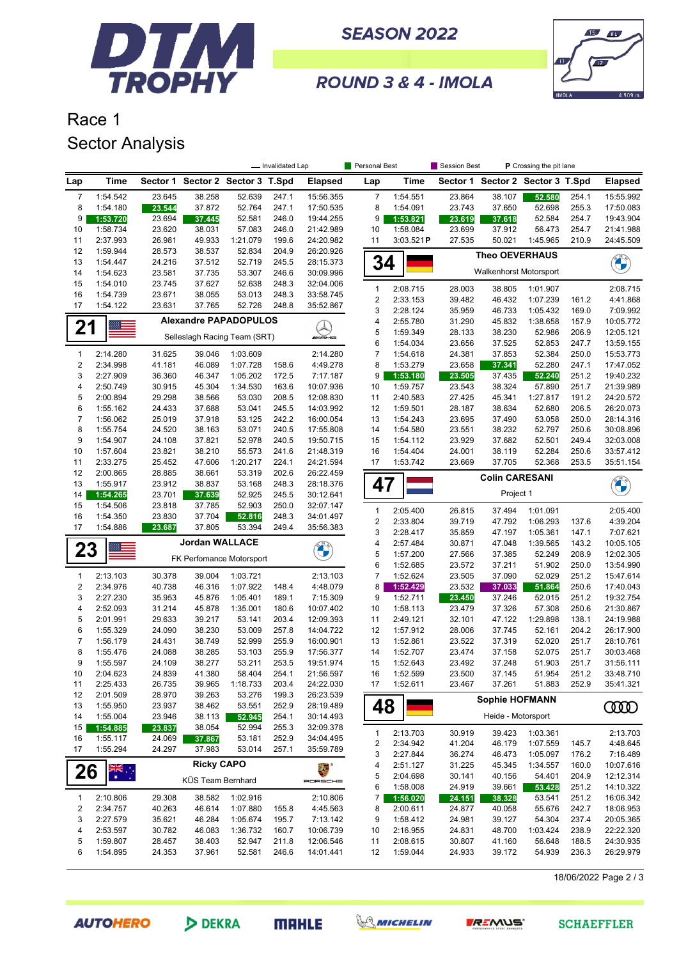

**SEASON 2022** 



ROUND 3 & 4 - IMOLA

## Race 1 Sector Analysis

|                         |                              |                  |                       |                                  | - Invalidated Lap |                            | Personal Best  |           | Session Best     |                               | P Crossing the pit lane          |                |                        |
|-------------------------|------------------------------|------------------|-----------------------|----------------------------------|-------------------|----------------------------|----------------|-----------|------------------|-------------------------------|----------------------------------|----------------|------------------------|
| Lap                     | <b>Time</b>                  |                  |                       | Sector 1 Sector 2 Sector 3 T.Spd |                   | <b>Elapsed</b>             | Lap            | Time      |                  |                               | Sector 1 Sector 2 Sector 3 T.Spd |                | <b>Elapsed</b>         |
| $\overline{7}$          | 1:54.542                     | 23.645           | 38.258                | 52.639                           | 247.1             | 15:56.355                  | 7              | 1:54.551  | 23.864           | 38.107                        | 52.580                           | 254.1          | 15:55.992              |
| 8                       | 1:54.180                     | 23.544           | 37.872                | 52.764                           | 247.1             | 17:50.535                  | 8              | 1:54.091  | 23.743           | 37.650                        | 52.698                           | 255.3          | 17:50.083              |
| 9                       | 1:53.720                     | 23.694           | 37.445                | 52.581                           | 246.0             | 19:44.255                  | 9              | 1:53.821  | 23.619           | 37.618                        | 52.584                           | 254.7          | 19:43.904              |
| 10                      | 1:58.734                     | 23.620           | 38.031                | 57.083                           | 246.0             | 21:42.989                  | 10             | 1:58.084  | 23.699           | 37.912                        | 56.473                           | 254.7          | 21:41.988              |
| 11                      | 2:37.993                     | 26.981           | 49.933                | 1:21.079                         | 199.6             | 24:20.982                  | 11             | 3:03.521P | 27.535           | 50.021                        | 1:45.965                         | 210.9          | 24:45.509              |
| 12                      | 1:59.944                     | 28.573           | 38.537                | 52.834                           | 204.9             | 26:20.926                  |                |           |                  | <b>Theo OEVERHAUS</b>         |                                  |                |                        |
| 13                      | 1:54.447                     | 24.216           | 37.512                | 52.719                           | 245.5             | 28:15.373                  | 34             |           |                  |                               |                                  |                | <b>CHANGE</b>          |
| 14                      | 1:54.623                     | 23.581           | 37.735                | 53.307                           | 246.6             | 30:09.996                  |                |           |                  | <b>Walkenhorst Motorsport</b> |                                  |                |                        |
| 15                      | 1:54.010                     | 23.745           | 37.627                | 52.638                           | 248.3             | 32:04.006                  | $\mathbf{1}$   | 2:08.715  | 28.003           | 38.805                        | 1:01.907                         |                | 2:08.715               |
| 16                      | 1:54.739                     | 23.671           | 38.055                | 53.013                           | 248.3             | 33:58.745                  | $\sqrt{2}$     | 2:33.153  | 39.482           | 46.432                        | 1:07.239                         | 161.2          | 4:41.868               |
| 17                      | 1:54.122                     | 23.631           | 37.765                | 52.726                           | 248.8             | 35:52.867                  | 3              | 2:28.124  | 35.959           | 46.733                        | 1:05.432                         | 169.0          | 7:09.992               |
|                         |                              |                  |                       | <b>Alexandre PAPADOPULOS</b>     |                   |                            | 4              | 2:55.780  | 31.290           | 45.832                        | 1:38.658                         | 157.9          | 10:05.772              |
| 21                      |                              |                  |                       | Selleslagh Racing Team (SRT)     |                   | <i><b>MARING</b></i>       | 5              | 1:59.349  | 28.133           | 38.230                        | 52.986                           | 206.9          | 12:05.121              |
|                         |                              |                  |                       |                                  |                   |                            | 6              | 1:54.034  | 23.656           | 37.525                        | 52.853                           | 247.7          | 13:59.155              |
| $\mathbf{1}$            | 2:14.280                     | 31.625           | 39.046                | 1:03.609                         |                   | 2:14.280                   | $\overline{7}$ | 1:54.618  | 24.381           | 37.853                        | 52.384                           | 250.0          | 15:53.773              |
| 2                       | 2:34.998                     | 41.181           | 46.089                | 1:07.728                         | 158.6             | 4:49.278                   | 8              | 1:53.279  | 23.658           | 37.341                        | 52.280                           | 247.1          | 17:47.052              |
| 3                       | 2:27.909                     | 36.360           | 46.347                | 1:05.202                         | 172.5             | 7:17.187                   | 9              | 1:53.180  | 23.505           | 37.435                        | 52.240                           | 251.2          | 19:40.232              |
| 4                       | 2:50.749                     | 30.915           | 45.304                | 1:34.530                         | 163.6             | 10:07.936                  | 10             | 1:59.757  | 23.543           | 38.324                        | 57.890                           | 251.7          | 21:39.989              |
| 5                       | 2:00.894                     | 29.298           | 38.566                | 53.030                           | 208.5             | 12:08.830                  | 11             | 2:40.583  | 27.425           | 45.341                        | 1:27.817                         | 191.2          | 24:20.572              |
| 6                       | 1:55.162                     | 24.433           | 37.688                | 53.041                           | 245.5             | 14:03.992                  | 12             | 1:59.501  | 28.187           | 38.634                        | 52.680                           | 206.5          | 26:20.073              |
| $\overline{7}$          | 1:56.062                     | 25.019           | 37.918                | 53.125                           | 242.2             | 16:00.054                  | 13             | 1:54.243  | 23.695           | 37.490                        | 53.058                           | 250.0          | 28:14.316              |
| 8                       | 1:55.754                     | 24.520           | 38.163                | 53.071                           | 240.5             | 17:55.808                  | 14             | 1:54.580  | 23.551           | 38.232                        | 52.797                           | 250.6          | 30:08.896              |
| 9                       | 1:54.907                     | 24.108           | 37.821                | 52.978                           | 240.5             | 19:50.715                  | 15             | 1:54.112  | 23.929           | 37.682                        | 52.501                           | 249.4          | 32:03.008              |
| 10                      | 1:57.604                     | 23.821           | 38.210                | 55.573                           | 241.6             | 21:48.319                  | 16             | 1:54.404  | 24.001           | 38.119                        | 52.284                           | 250.6          | 33:57.412              |
| 11                      | 2:33.275                     | 25.452           | 47.606                | 1:20.217                         | 224.1             | 24:21.594                  | 17             | 1:53.742  | 23.669           | 37.705                        | 52.368                           | 253.5          | 35:51.154              |
| 12                      | 2:00.865                     | 28.885           | 38.661                | 53.319                           | 202.6             | 26:22.459                  |                |           |                  | <b>Colin CARESANI</b>         |                                  |                |                        |
| 13                      | 1:55.917                     | 23.912           | 38.837                | 53.168                           | 248.3             | 28:18.376                  | 47             |           |                  |                               |                                  |                | <b>CALCIO</b>          |
| 14                      | 1:54.265                     | 23.701           | 37.639                | 52.925                           | 245.5             | 30:12.641                  |                |           |                  | Project 1                     |                                  |                |                        |
| 15                      | 1:54.506                     | 23.818           | 37.785                | 52.903                           | 250.0             | 32:07.147                  | $\mathbf{1}$   | 2:05.400  | 26.815           | 37.494                        | 1:01.091                         |                | 2:05.400               |
| 16<br>17                | 1:54.350                     | 23.830           | 37.704                | 52.816                           | 248.3             | 34:01.497                  | $\sqrt{2}$     | 2:33.804  | 39.719           | 47.792                        | 1:06.293                         | 137.6          | 4:39.204               |
|                         | 1:54.886                     | 23.687           | 37.805                | 53.394                           | 249.4             | 35:56.383                  | 3              | 2:28.417  | 35.859           | 47.197                        | 1:05.361                         | 147.1          | 7:07.621               |
| 23                      |                              |                  | <b>Jordan WALLACE</b> |                                  |                   |                            | 4              | 2:57.484  | 30.871           | 47.048                        | 1:39.565                         | 143.2          | 10:05.105              |
|                         |                              |                  |                       | FK Perfomance Motorsport         |                   | O                          | 5              | 1:57.200  | 27.566           | 37.385                        | 52.249                           | 208.9          | 12:02.305              |
|                         |                              |                  |                       |                                  |                   |                            | 6              | 1:52.685  | 23.572           | 37.211                        | 51.902                           | 250.0          | 13:54.990              |
| $\mathbf{1}$            | 2:13.103                     | 30.378           | 39.004                | 1:03.721                         |                   | 2:13.103                   | $\overline{7}$ | 1:52.624  | 23.505           | 37.090                        | 52.029                           | 251.2          | 15:47.614              |
| $\overline{\mathbf{c}}$ | 2:34.976                     | 40.738           | 46.316                | 1:07.922                         | 148.4             | 4:48.079                   | 8              | 1:52.429  | 23.532           | 37.033                        | 51.864                           | 250.6          | 17:40.043              |
| 3                       | 2:27.230                     | 35.953           | 45.876                | 1:05.401                         | 189.1             | 7:15.309                   | 9              | 1:52.711  | 23.450           | 37.246                        | 52.015                           | 251.2          | 19:32.754              |
| 4                       | 2:52.093                     | 31.214           | 45.878                | 1:35.001                         | 180.6             | 10:07.402                  | 10             | 1:58.113  | 23.479           | 37.326                        | 57.308                           | 250.6          | 21:30.867              |
| 5                       | 2:01.991                     | 29.633           | 39.217                | 53.141                           | 203.4             | 12:09.393                  | 11             | 2:49.121  | 32.101           | 47.122                        | 1:29.898                         | 138.1          | 24:19.988              |
| 6                       | 1:55.329                     | 24.090           | 38.230                | 53.009                           | 257.8             | 14:04.722                  | 12             | 1:57.912  | 28.006           | 37.745                        | 52.161                           | 204.2          | 26:17.900              |
| 7                       | 1:56.179                     | 24.431           | 38.749                | 52.999                           | 255.9             | 16:00.901                  | 13             | 1:52.861  | 23.522           | 37.319                        | 52.020                           | 251.7          | 28:10.761              |
| 8                       | 1:55.476                     | 24.088           | 38.285                | 53.103                           | 255.9             | 17:56.377                  | 14             | 1:52.707  | 23.474           | 37.158                        | 52.075                           | 251.7          | 30:03.468              |
| 9                       | 1:55.597                     | 24.109           | 38.277                | 53.211                           | 253.5<br>254.1    | 19:51.974                  | 15             | 1:52.643  | 23.492           | 37.248                        | 51.903                           | 251.7          | 31:56.111              |
| 10                      | 2:04.623                     | 24.839           | 41.380                | 58.404<br>1:18.733               |                   | 21:56.597                  | 16             | 1:52.599  | 23.500<br>23.467 | 37.145<br>37.261              | 51.954<br>51.883                 | 251.2<br>252.9 | 33:48.710<br>35:41.321 |
| 11<br>12                | 2:25.433<br>2:01.509         | 26.735<br>28.970 | 39.965<br>39.263      | 53.276                           | 203.4<br>199.3    | 24:22.030<br>26:23.539     | 17             | 1:52.611  |                  |                               |                                  |                |                        |
| 13                      | 1:55.950                     | 23.937           | 38.462                | 53.551                           | 252.9             | 28:19.489                  |                |           |                  | <b>Sophie HOFMANN</b>         |                                  |                |                        |
| 14                      | 1:55.004                     | 23.946           | 38.113                | 52.945                           | 254.1             | 30:14.493                  | 48             |           |                  | Heide - Motorsport            |                                  |                | 0000                   |
| 15                      | 1:54.885                     | 23.837           | 38.054                | 52.994                           | 255.3             | 32:09.378                  |                |           |                  |                               |                                  |                |                        |
| 16                      | 1:55.117                     | 24.069           | 37.867                | 53.181                           | 252.9             | 34:04.495                  | $\mathbf{1}$   | 2:13.703  | 30.919           | 39.423                        | 1:03.361                         |                | 2:13.703               |
| 17                      | 1:55.294                     | 24.297           | 37.983                | 53.014                           | 257.1             | 35:59.789                  | $\overline{c}$ | 2:34.942  | 41.204           | 46.179                        | 1:07.559                         | 145.7          | 4:48.645               |
|                         |                              |                  |                       |                                  |                   |                            | 3              | 2:27.844  | 36.274           | 46.473                        | 1:05.097                         | 176.2          | 7:16.489               |
| 26                      | $\frac{1}{2} \sum_{k=1}^{N}$ |                  | <b>Ricky CAPO</b>     |                                  |                   | $E_{\rm{ex}}$ <sup>o</sup> | 4              | 2:51.127  | 31.225           | 45.345                        | 1:34.557                         | 160.0          | 10:07.616              |
|                         |                              |                  | KÜS Team Bernhard     |                                  |                   | PORSCHE                    | 5              | 2:04.698  | 30.141           | 40.156                        | 54.401                           | 204.9          | 12:12.314              |
|                         |                              |                  |                       |                                  |                   |                            | 6              | 1:58.008  | 24.919           | 39.661                        | 53.428                           | 251.2          | 14:10.322              |
| $\mathbf{1}$            | 2:10.806                     | 29.308           | 38.582                | 1:02.916                         |                   | 2:10.806                   | 7              | 1:56.020  | 24.151           | 38.328                        | 53.541                           | 251.2          | 16:06.342              |
| $\overline{\mathbf{c}}$ | 2:34.757                     | 40.263           | 46.614                | 1:07.880                         | 155.8             | 4:45.563                   | 8              | 2:00.611  | 24.877           | 40.058                        | 55.676                           | 242.7          | 18:06.953              |
| 3                       | 2:27.579                     | 35.621           | 46.284                | 1:05.674                         | 195.7             | 7:13.142                   | 9              | 1:58.412  | 24.981           | 39.127                        | 54.304                           | 237.4          | 20:05.365              |
| 4                       | 2:53.597                     | 30.782           | 46.083                | 1:36.732                         | 160.7             | 10:06.739                  | 10             | 2:16.955  | 24.831           | 48.700                        | 1:03.424                         | 238.9          | 22:22.320              |
| 5                       | 1:59.807                     | 28.457           | 38.403                | 52.947                           | 211.8             | 12:06.546                  | 11             | 2:08.615  | 30.807           | 41.160                        | 56.648                           | 188.5          | 24:30.935              |
| 6                       | 1:54.895                     | 24.353           | 37.961                | 52.581                           | 246.6             | 14:01.441                  | 12             | 1:59.044  | 24.933           | 39.172                        | 54.939                           | 236.3          | 26:29.979              |

18/06/2022 Page 2 / 3